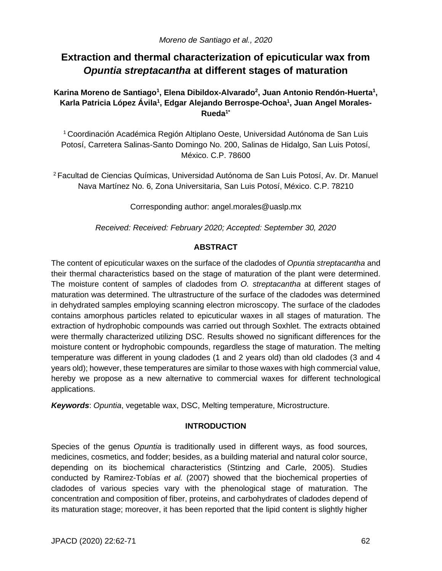# **Extraction and thermal characterization of epicuticular wax from**  *Opuntia streptacantha* **at different stages of maturation**

Karina Moreno de Santiago<sup>1</sup>, Elena Dibildox-Alvarado<sup>2</sup>, Juan Antonio Rendón-Huerta<sup>1</sup>, **Karla Patricia López Ávila<sup>1</sup> , Edgar Alejando Berrospe-Ochoa<sup>1</sup> , Juan Angel Morales-Rueda1\***

<sup>1</sup>Coordinación Académica Región Altiplano Oeste, Universidad Autónoma de San Luis Potosí, Carretera Salinas-Santo Domingo No. 200, Salinas de Hidalgo, San Luis Potosí, México. C.P. 78600

<sup>2</sup>Facultad de Ciencias Químicas, Universidad Autónoma de San Luis Potosí, Av. Dr. Manuel Nava Martínez No. 6, Zona Universitaria, San Luis Potosí, México. C.P. 78210

Corresponding author: angel.morales@uaslp.mx

*Received: Received: February 2020; Accepted: September 30, 2020*

# **ABSTRACT**

The content of epicuticular waxes on the surface of the cladodes of *Opuntia streptacantha* and their thermal characteristics based on the stage of maturation of the plant were determined. The moisture content of samples of cladodes from *O. streptacantha* at different stages of maturation was determined. The ultrastructure of the surface of the cladodes was determined in dehydrated samples employing scanning electron microscopy. The surface of the cladodes contains amorphous particles related to epicuticular waxes in all stages of maturation. The extraction of hydrophobic compounds was carried out through Soxhlet. The extracts obtained were thermally characterized utilizing DSC. Results showed no significant differences for the moisture content or hydrophobic compounds, regardless the stage of maturation. The melting temperature was different in young cladodes (1 and 2 years old) than old cladodes (3 and 4 years old); however, these temperatures are similar to those waxes with high commercial value, hereby we propose as a new alternative to commercial waxes for different technological applications.

*Keywords*: *Opuntia*, vegetable wax, DSC, Melting temperature, Microstructure.

# **INTRODUCTION**

Species of the genus *Opuntia* is traditionally used in different ways, as food sources, medicines, cosmetics, and fodder; besides, as a building material and natural color source, depending on its biochemical characteristics (Stintzing and Carle, 2005). Studies conducted by Ramirez-Tobías *et al.* (2007) showed that the biochemical properties of cladodes of various species vary with the phenological stage of maturation. The concentration and composition of fiber, proteins, and carbohydrates of cladodes depend of its maturation stage; moreover, it has been reported that the lipid content is slightly higher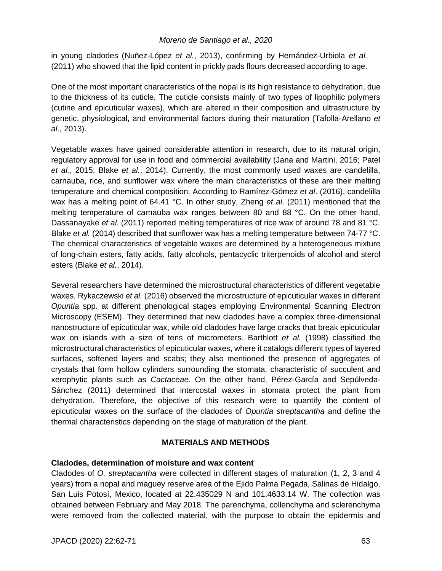in young cladodes (Nuñez-López *et al.*, 2013), confirming by Hernández-Urbiola *et al.* (2011) who showed that the lipid content in prickly pads flours decreased according to age.

One of the most important characteristics of the nopal is its high resistance to dehydration, due to the thickness of its cuticle. The cuticle consists mainly of two types of lipophilic polymers (cutine and epicuticular waxes), which are altered in their composition and ultrastructure by genetic, physiological, and environmental factors during their maturation (Tafolla-Arellano *et al.*, 2013).

Vegetable waxes have gained considerable attention in research, due to its natural origin, regulatory approval for use in food and commercial availability (Jana and Martini, 2016; Patel *et al.*, 2015; Blake *et al.*, 2014). Currently, the most commonly used waxes are candelilla, carnauba, rice, and sunflower wax where the main characteristics of these are their melting temperature and chemical composition. According to Ramírez-Gómez *et al*. (2016), candelilla wax has a melting point of 64.41 °C. In other study, Zheng *et al*. (2011) mentioned that the melting temperature of carnauba wax ranges between 80 and 88 °C. On the other hand, Dassanayake *et al*. (2011) reported melting temperatures of rice wax of around 78 and 81 °C. Blake *et al.* (2014) described that sunflower wax has a melting temperature between 74-77 °C. The chemical characteristics of vegetable waxes are determined by a heterogeneous mixture of long-chain esters, fatty acids, fatty alcohols, pentacyclic triterpenoids of alcohol and sterol esters (Blake *et al.*, 2014).

Several researchers have determined the microstructural characteristics of different vegetable waxes. Rykaczewski *et al.* (2016) observed the microstructure of epicuticular waxes in different *Opuntia* spp. at different phenological stages employing Environmental Scanning Electron Microscopy (ESEM). They determined that new cladodes have a complex three-dimensional nanostructure of epicuticular wax, while old cladodes have large cracks that break epicuticular wax on islands with a size of tens of micrometers. Barthlott *et al.* (1998) classified the microstructural characteristics of epicuticular waxes, where it catalogs different types of layered surfaces, softened layers and scabs; they also mentioned the presence of aggregates of crystals that form hollow cylinders surrounding the stomata, characteristic of succulent and xerophytic plants such as *Cactaceae*. On the other hand, Pérez-García and Sepúlveda-Sánchez (2011) determined that intercostal waxes in stomata protect the plant from dehydration. Therefore, the objective of this research were to quantify the content of epicuticular waxes on the surface of the cladodes of *Opuntia streptacantha* and define the thermal characteristics depending on the stage of maturation of the plant.

## **MATERIALS AND METHODS**

## **Cladodes, determination of moisture and wax content**

Cladodes of *O. streptacantha* were collected in different stages of maturation (1, 2, 3 and 4 years) from a nopal and maguey reserve area of the Ejido Palma Pegada, Salinas de Hidalgo, San Luis Potosí, Mexico, located at 22.435029 N and 101.4633.14 W. The collection was obtained between February and May 2018. The parenchyma, collenchyma and sclerenchyma were removed from the collected material, with the purpose to obtain the epidermis and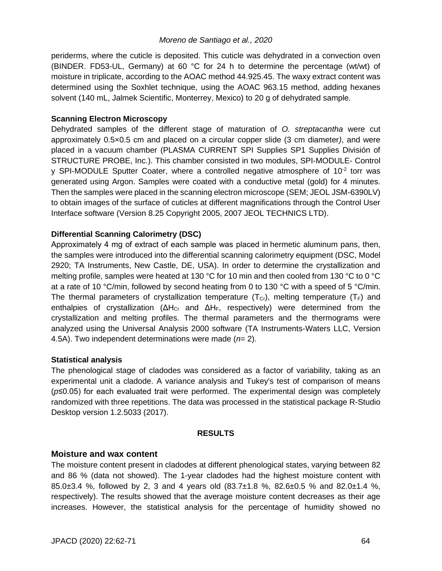periderms, where the cuticle is deposited. This cuticle was dehydrated in a convection oven (BINDER. FD53-UL, Germany) at 60 °C for 24 h to determine the percentage (wt/wt) of moisture in triplicate, according to the AOAC method 44.925.45. The waxy extract content was determined using the Soxhlet technique, using the AOAC 963.15 method, adding hexanes solvent (140 mL, Jalmek Scientific, Monterrey, Mexico) to 20 g of dehydrated sample.

## **Scanning Electron Microscopy**

Dehydrated samples of the different stage of maturation of *O. streptacantha* were cut approximately 0.5×0.5 cm and placed on a circular copper slide (3 cm diameter*)*, and were placed in a vacuum chamber (PLASMA CURRENT SPI Supplies SP1 Supplies División of STRUCTURE PROBE, Inc.). This chamber consisted in two modules, SPI-MODULE- Control y SPI-MODULE Sputter Coater, where a controlled negative atmosphere of 10<sup>-2</sup> torr was generated using Argon. Samples were coated with a conductive metal (gold) for 4 minutes. Then the samples were placed in the scanning electron microscope (SEM; JEOL JSM-6390LV) to obtain images of the surface of cuticles at different magnifications through the Control User Interface software (Version 8.25 Copyright 2005, 2007 JEOL TECHNICS LTD).

# **Differential Scanning Calorimetry (DSC)**

Approximately 4 mg of extract of each sample was placed in hermetic aluminum pans, then, the samples were introduced into the differential scanning calorimetry equipment (DSC, Model 2920; TA Instruments, New Castle, DE, USA). In order to determine the crystallization and melting profile, samples were heated at 130 °C for 10 min and then cooled from 130 °C to 0 °C at a rate of 10 °C/min, followed by second heating from 0 to 130 °C with a speed of 5 °C/min. The thermal parameters of crystallization temperature  $(T<sub>cr</sub>)$ , melting temperature  $(T<sub>F</sub>)$  and enthalpies of crystallization ( $\Delta H_{\text{Cr}}$  and  $\Delta H_{\text{F}}$ , respectively) were determined from the crystallization and melting profiles. The thermal parameters and the thermograms were analyzed using the Universal Analysis 2000 software (TA Instruments-Waters LLC, Version 4.5A). Two independent determinations were made (*n*= 2).

## **Statistical analysis**

The phenological stage of cladodes was considered as a factor of variability, taking as an experimental unit a cladode. A variance analysis and Tukey's test of comparison of means (*p*≤0.05) for each evaluated trait were performed. The experimental design was completely randomized with three repetitions. The data was processed in the statistical package R-Studio Desktop version 1.2.5033 (2017).

#### **RESULTS**

## **Moisture and wax content**

The moisture content present in cladodes at different phenological states, varying between 82 and 86 % (data not showed). The 1-year cladodes had the highest moisture content with 85.0 $\pm$ 3.4 %, followed by 2, 3 and 4 years old (83.7 $\pm$ 1.8 %, 82.6 $\pm$ 0.5 % and 82.0 $\pm$ 1.4 %, respectively). The results showed that the average moisture content decreases as their age increases. However, the statistical analysis for the percentage of humidity showed no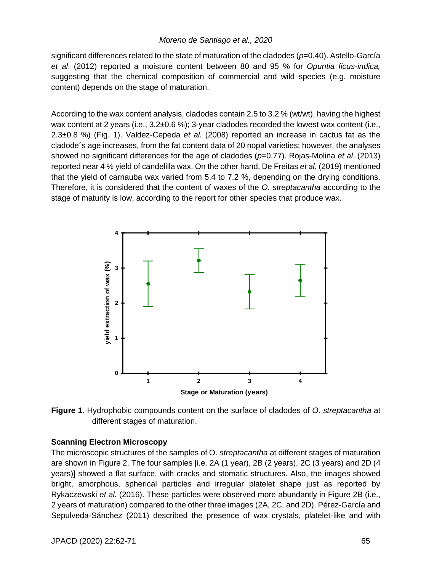significant differences related to the state of maturation of the cladodes (*p*=0.40). Astello-García *et al*. (2012) reported a moisture content between 80 and 95 % for *Opuntia ficus-indica,* suggesting that the chemical composition of commercial and wild species (e.g. moisture content) depends on the stage of maturation.

According to the wax content analysis, cladodes contain 2.5 to 3.2 % (wt/wt), having the highest wax content at 2 years (i.e.,  $3.2\pm0.6$ %); 3-year cladodes recorded the lowest wax content (i.e., 2.3±0.8 %) (Fig. 1). Valdez-Cepeda *et al.* (2008) reported an increase in cactus fat as the cladode´s age increases, from the fat content data of 20 nopal varieties; however, the analyses showed no significant differences for the age of cladodes (*p*=0.77). Rojas-Molina *et al*. (2013) reported near 4 % yield of candelilla wax. On the other hand, De Freitas *et al.* (2019) mentioned that the yield of carnauba wax varied from 5.4 to 7.2 %, depending on the drying conditions. Therefore, it is considered that the content of waxes of the *O. streptacantha* according to the stage of maturity is low, according to the report for other species that produce wax.



**Figure 1.** Hydrophobic compounds content on the surface of cladodes of *O. streptacantha* at different stages of maturation.

# **Scanning Electron Microscopy**

The microscopic structures of the samples of O. *streptacantha* at different stages of maturation are shown in Figure 2. The four samples [i.e. 2A (1 year), 2B (2 years), 2C (3 years) and 2D (4 years)] showed a flat surface, with cracks and stomatic structures. Also, the images showed bright, amorphous, spherical particles and irregular platelet shape just as reported by Rykaczewski *et al.* (2016). These particles were observed more abundantly in Figure 2B (i.e., 2 years of maturation) compared to the other three images (2A, 2C, and 2D). Pérez-García and Sepulveda-Sánchez (2011) described the presence of wax crystals, platelet-like and with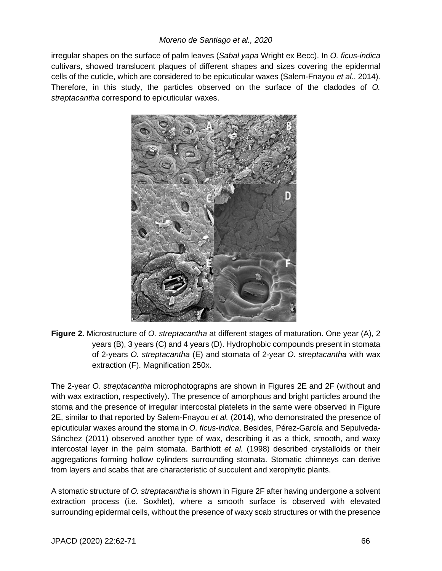irregular shapes on the surface of palm leaves (*Sabal yapa* Wright ex Becc). In *O. ficus-indica* cultivars, showed translucent plaques of different shapes and sizes covering the epidermal cells of the cuticle, which are considered to be epicuticular waxes (Salem-Fnayou *et al.*, 2014). Therefore, in this study, the particles observed on the surface of the cladodes of *O. streptacantha* correspond to epicuticular waxes.



**Figure 2.** Microstructure of *O. streptacantha* at different stages of maturation. One year (A), 2 years (B), 3 years (C) and 4 years (D). Hydrophobic compounds present in stomata of 2-years *O. streptacantha* (E) and stomata of 2-year *O. streptacantha* with wax extraction (F). Magnification 250x.

The 2-year *O. streptacantha* microphotographs are shown in Figures 2E and 2F (without and with wax extraction, respectively). The presence of amorphous and bright particles around the stoma and the presence of irregular intercostal platelets in the same were observed in Figure 2E, similar to that reported by Salem-Fnayou *et al.* (2014), who demonstrated the presence of epicuticular waxes around the stoma in *O. ficus-indica*. Besides, Pérez-García and Sepulveda-Sánchez (2011) observed another type of wax, describing it as a thick, smooth, and waxy intercostal layer in the palm stomata. Barthlott *et al.* (1998) described crystalloids or their aggregations forming hollow cylinders surrounding stomata. Stomatic chimneys can derive from layers and scabs that are characteristic of succulent and xerophytic plants.

A stomatic structure of *O. streptacantha* is shown in Figure 2F after having undergone a solvent extraction process (i.e. Soxhlet), where a smooth surface is observed with elevated surrounding epidermal cells, without the presence of waxy scab structures or with the presence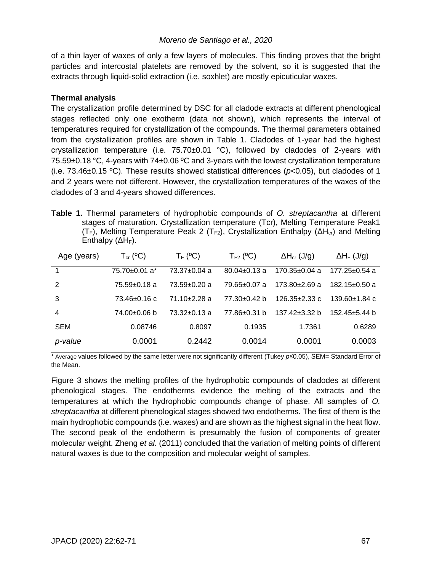of a thin layer of waxes of only a few layers of molecules. This finding proves that the bright particles and intercostal platelets are removed by the solvent, so it is suggested that the extracts through liquid-solid extraction (i.e. soxhlet) are mostly epicuticular waxes.

# **Thermal analysis**

The crystallization profile determined by DSC for all cladode extracts at different phenological stages reflected only one exotherm (data not shown), which represents the interval of temperatures required for crystallization of the compounds. The thermal parameters obtained from the crystallization profiles are shown in Table 1. Cladodes of 1-year had the highest crystallization temperature (i.e.  $75.70\pm0.01$  °C), followed by cladodes of 2-years with 75.59±0.18 °C, 4-years with 74±0.06 ºC and 3-years with the lowest crystallization temperature (i.e. 73.46±0.15 ºC). These results showed statistical differences (*p*<0.05), but cladodes of 1 and 2 years were not different. However, the crystallization temperatures of the waxes of the cladodes of 3 and 4-years showed differences.

**Table 1.** Thermal parameters of hydrophobic compounds of *O. streptacantha* at different stages of maturation. Crystallization temperature (Tcr), Melting Temperature Peak1 (T<sub>F</sub>), Melting Temperature Peak 2 (T<sub>F2</sub>), Crystallization Enthalpy ( $\Delta H_{cr}$ ) and Melting Enthalpy  $( \Delta H_F)$ .

| Age (years) | $T_{cr}$ (°C)   | $T_F$ (°C)         | $T_{F2}$ (°C)      | $\Delta H_{cr}$ (J/g) | $\Delta H_F$ (J/g)  |
|-------------|-----------------|--------------------|--------------------|-----------------------|---------------------|
|             | 75.70±0.01 a*   | $73.37 \pm 0.04$ a | $80.04 \pm 0.13$ a | $170.35 \pm 0.04$ a   | $177.25 \pm 0.54$ a |
| 2           | 75.59±0.18 a    | $73.59 \pm 0.20$ a | 79.65+0.07 a       | $173.80 + 2.69$ a     | $182.15 \pm 0.50$ a |
| 3           | $73.46 + 0.16c$ | $71.10 + 2.28$ a   | 77.30+0.42 b       | 126.35+2.33 c         | $139.60 + 1.84$ c   |
| 4           | 74.00±0.06 b    | $73.32 \pm 0.13$ a | 77.86±0.31 b       | $137.42 + 3.32 h$     | $152.45 \pm 5.44$ b |
| <b>SEM</b>  | 0.08746         | 0.8097             | 0.1935             | 1.7361                | 0.6289              |
| p-value     | 0.0001          | 0.2442             | 0.0014             | 0.0001                | 0.0003              |

\* Average values followed by the same letter were not significantly different (Tukey *p*≤0.05), SEM= Standard Error of the Mean.

Figure 3 shows the melting profiles of the hydrophobic compounds of cladodes at different phenological stages. The endotherms evidence the melting of the extracts and the temperatures at which the hydrophobic compounds change of phase. All samples of *O. streptacantha* at different phenological stages showed two endotherms. The first of them is the main hydrophobic compounds (i.e. waxes) and are shown as the highest signal in the heat flow. The second peak of the endotherm is presumably the fusion of components of greater molecular weight. Zheng *et al.* (2011) concluded that the variation of melting points of different natural waxes is due to the composition and molecular weight of samples.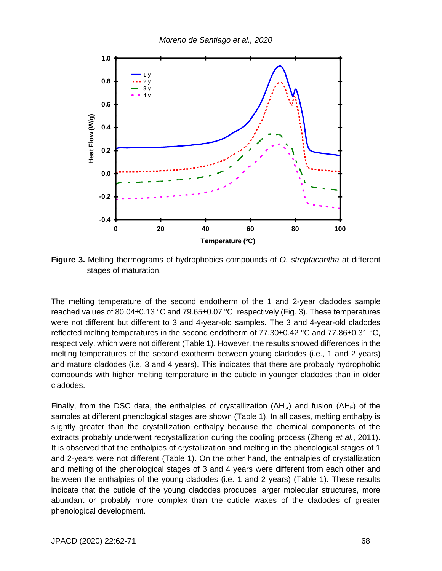

**Figure 3.** Melting thermograms of hydrophobics compounds of *O. streptacantha* at different stages of maturation.

The melting temperature of the second endotherm of the 1 and 2-year cladodes sample reached values of 80.04±0.13 °C and 79.65±0.07 °C, respectively (Fig. 3). These temperatures were not different but different to 3 and 4-year-old samples. The 3 and 4-year-old cladodes reflected melting temperatures in the second endotherm of 77.30±0.42 °C and 77.86±0.31 °C, respectively, which were not different (Table 1). However, the results showed differences in the melting temperatures of the second exotherm between young cladodes (i.e., 1 and 2 years) and mature cladodes (i.e. 3 and 4 years). This indicates that there are probably hydrophobic compounds with higher melting temperature in the cuticle in younger cladodes than in older cladodes.

Finally, from the DSC data, the enthalpies of crystallization ( $ΔH<sub>cr</sub>$ ) and fusion ( $ΔH<sub>F</sub>$ ) of the samples at different phenological stages are shown (Table 1). In all cases, melting enthalpy is slightly greater than the crystallization enthalpy because the chemical components of the extracts probably underwent recrystallization during the cooling process (Zheng *et al.*, 2011). It is observed that the enthalpies of crystallization and melting in the phenological stages of 1 and 2-years were not different (Table 1). On the other hand, the enthalpies of crystallization and melting of the phenological stages of 3 and 4 years were different from each other and between the enthalpies of the young cladodes (i.e. 1 and 2 years) (Table 1). These results indicate that the cuticle of the young cladodes produces larger molecular structures, more abundant or probably more complex than the cuticle waxes of the cladodes of greater phenological development.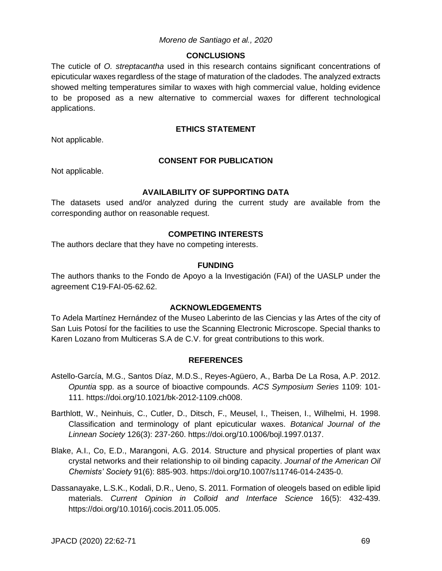#### **CONCLUSIONS**

The cuticle of *O. streptacantha* used in this research contains significant concentrations of epicuticular waxes regardless of the stage of maturation of the cladodes. The analyzed extracts showed melting temperatures similar to waxes with high commercial value, holding evidence to be proposed as a new alternative to commercial waxes for different technological applications.

### **ETHICS STATEMENT**

Not applicable.

#### **CONSENT FOR PUBLICATION**

Not applicable.

### **AVAILABILITY OF SUPPORTING DATA**

The datasets used and/or analyzed during the current study are available from the corresponding author on reasonable request.

### **COMPETING INTERESTS**

The authors declare that they have no competing interests.

#### **FUNDING**

The authors thanks to the Fondo de Apoyo a la Investigación (FAI) of the UASLP under the agreement C19-FAI-05-62.62.

#### **ACKNOWLEDGEMENTS**

To Adela Martínez Hernández of the Museo Laberinto de las Ciencias y las Artes of the city of San Luis Potosí for the facilities to use the Scanning Electronic Microscope. Special thanks to Karen Lozano from Multiceras S.A de C.V. for great contributions to this work.

#### **REFERENCES**

- Astello-García, M.G., Santos Díaz, M.D.S., Reyes-Agüero, A., Barba De La Rosa, A.P. 2012. *Opuntia* spp. as a source of bioactive compounds. *ACS Symposium Series* 1109: 101- 111. https://doi.org/10.1021/bk-2012-1109.ch008.
- Barthlott, W., Neinhuis, C., Cutler, D., Ditsch, F., Meusel, I., Theisen, I., Wilhelmi, H. 1998. Classification and terminology of plant epicuticular waxes. *Botanical Journal of the Linnean Society* 126(3): 237-260. https://doi.org/10.1006/bojl.1997.0137.
- Blake, A.I., Co, E.D., Marangoni, A.G. 2014. Structure and physical properties of plant wax crystal networks and their relationship to oil binding capacity. *Journal of the American Oil Chemists' Society* 91(6): 885-903. https://doi.org/10.1007/s11746-014-2435-0.
- Dassanayake, L.S.K., Kodali, D.R., Ueno, S. 2011. Formation of oleogels based on edible lipid materials. *Current Opinion in Colloid and Interface Science* 16(5): 432-439. https://doi.org/10.1016/j.cocis.2011.05.005.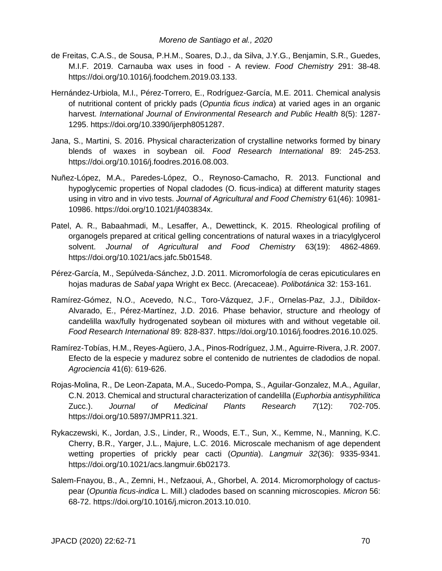- de Freitas, C.A.S., de Sousa, P.H.M., Soares, D.J., da Silva, J.Y.G., Benjamin, S.R., Guedes, M.I.F. 2019. Carnauba wax uses in food - A review. *Food Chemistry* 291: 38-48. https://doi.org/10.1016/j.foodchem.2019.03.133.
- Hernández-Urbiola, M.I., Pérez-Torrero, E., Rodríguez-García, M.E. 2011. Chemical analysis of nutritional content of prickly pads (*Opuntia ficus indica*) at varied ages in an organic harvest. *International Journal of Environmental Research and Public Health* 8(5): 1287- 1295. https://doi.org/10.3390/ijerph8051287.
- Jana, S., Martini, S. 2016. Physical characterization of crystalline networks formed by binary blends of waxes in soybean oil. *Food Research International* 89: 245-253. https://doi.org/10.1016/j.foodres.2016.08.003.
- Nuñez-López, M.A., Paredes-López, O., Reynoso-Camacho, R. 2013. Functional and hypoglycemic properties of Nopal cladodes (O. ficus-indica) at different maturity stages using in vitro and in vivo tests. *Journal of Agricultural and Food Chemistry* 61(46): 10981- 10986. https://doi.org/10.1021/jf403834x.
- Patel, A. R., Babaahmadi, M., Lesaffer, A., Dewettinck, K. 2015. Rheological profiling of organogels prepared at critical gelling concentrations of natural waxes in a triacylglycerol solvent. *Journal of Agricultural and Food Chemistry* 63(19): 4862-4869. https://doi.org/10.1021/acs.jafc.5b01548.
- Pérez-García, M., Sepúlveda-Sánchez, J.D. 2011. Micromorfología de ceras epicuticulares en hojas maduras de *Sabal yapa* Wright ex Becc. (Arecaceae). *Polibotánica* 32: 153-161.
- Ramírez-Gómez, N.O., Acevedo, N.C., Toro-Vázquez, J.F., Ornelas-Paz, J.J., Dibildox-Alvarado, E., Pérez-Martínez, J.D. 2016. Phase behavior, structure and rheology of candelilla wax/fully hydrogenated soybean oil mixtures with and without vegetable oil. *Food Research International* 89: 828-837. https://doi.org/10.1016/j.foodres.2016.10.025.
- Ramírez-Tobías, H.M., Reyes-Agüero, J.A., Pinos-Rodríguez, J.M., Aguirre-Rivera, J.R. 2007. Efecto de la especie y madurez sobre el contenido de nutrientes de cladodios de nopal. *Agrociencia* 41(6): 619-626.
- Rojas-Molina, R., De Leon-Zapata, M.A., Sucedo-Pompa, S., Aguilar-Gonzalez, M.A., Aguilar, C.N. 2013. Chemical and structural characterization of candelilla (*Euphorbia antisyphilitica* Zucc.). *Journal of Medicinal Plants Research 7*(12): 702-705. https://doi.org/10.5897/JMPR11.321.
- Rykaczewski, K., Jordan, J.S., Linder, R., Woods, E.T., Sun, X., Kemme, N., Manning, K.C. Cherry, B.R., Yarger, J.L., Majure, L.C. 2016. Microscale mechanism of age dependent wetting properties of prickly pear cacti (*Opuntia*). *Langmuir 32*(36): 9335-9341. https://doi.org/10.1021/acs.langmuir.6b02173.
- Salem-Fnayou, B., A., Zemni, H., Nefzaoui, A., Ghorbel, A. 2014. Micromorphology of cactuspear (*Opuntia ficus-indica* L. Mill.) cladodes based on scanning microscopies. *Micron* 56: 68-72. https://doi.org/10.1016/j.micron.2013.10.010.